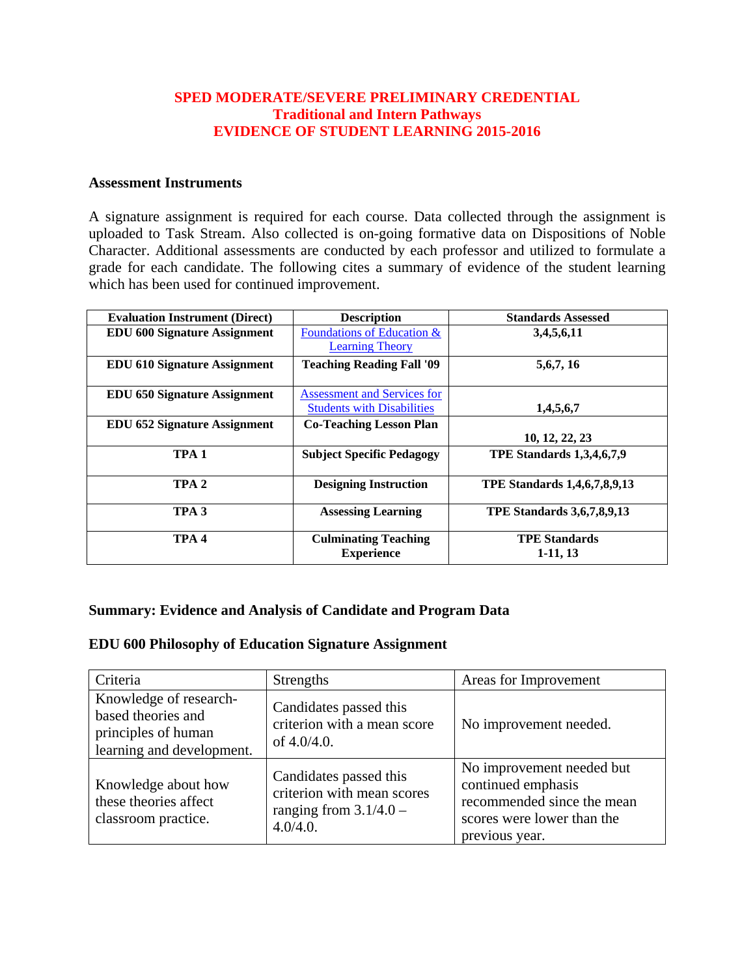### **SPED MODERATE/SEVERE PRELIMINARY CREDENTIAL Traditional and Intern Pathways EVIDENCE OF STUDENT LEARNING 2015-2016**

#### **Assessment Instruments**

A signature assignment is required for each course. Data collected through the assignment is uploaded to Task Stream. Also collected is on-going formative data on Dispositions of Noble Character. Additional assessments are conducted by each professor and utilized to formulate a grade for each candidate. The following cites a summary of evidence of the student learning which has been used for continued improvement.

| <b>Evaluation Instrument (Direct)</b> | <b>Description</b>                 | <b>Standards Assessed</b>         |
|---------------------------------------|------------------------------------|-----------------------------------|
| <b>EDU 600 Signature Assignment</b>   | Foundations of Education &         | 3,4,5,6,11                        |
|                                       | <b>Learning Theory</b>             |                                   |
| <b>EDU 610 Signature Assignment</b>   | <b>Teaching Reading Fall '09</b>   | 5,6,7,16                          |
| <b>EDU 650 Signature Assignment</b>   | <b>Assessment and Services for</b> |                                   |
|                                       | <b>Students with Disabilities</b>  | 1,4,5,6,7                         |
| <b>EDU 652 Signature Assignment</b>   | <b>Co-Teaching Lesson Plan</b>     |                                   |
|                                       |                                    | 10, 12, 22, 23                    |
| TPA <sub>1</sub>                      | <b>Subject Specific Pedagogy</b>   | <b>TPE Standards 1,3,4,6,7,9</b>  |
| TPA <sub>2</sub>                      | <b>Designing Instruction</b>       | TPE Standards 1,4,6,7,8,9,13      |
| TPA <sub>3</sub>                      | <b>Assessing Learning</b>          | <b>TPE Standards 3,6,7,8,9,13</b> |
| TPA <sub>4</sub>                      | <b>Culminating Teaching</b>        | <b>TPE Standards</b>              |
|                                       | <b>Experience</b>                  | $1-11, 13$                        |

#### **Summary: Evidence and Analysis of Candidate and Program Data**

#### **EDU 600 Philosophy of Education Signature Assignment**

| Criteria                                                                                         | Strengths                                                                                    | Areas for Improvement                                                                                                         |
|--------------------------------------------------------------------------------------------------|----------------------------------------------------------------------------------------------|-------------------------------------------------------------------------------------------------------------------------------|
| Knowledge of research-<br>based theories and<br>principles of human<br>learning and development. | Candidates passed this<br>criterion with a mean score<br>of $4.0/4.0$ .                      | No improvement needed.                                                                                                        |
| Knowledge about how<br>these theories affect<br>classroom practice.                              | Candidates passed this<br>criterion with mean scores<br>ranging from $3.1/4.0 -$<br>4.0/4.0. | No improvement needed but<br>continued emphasis<br>recommended since the mean<br>scores were lower than the<br>previous year. |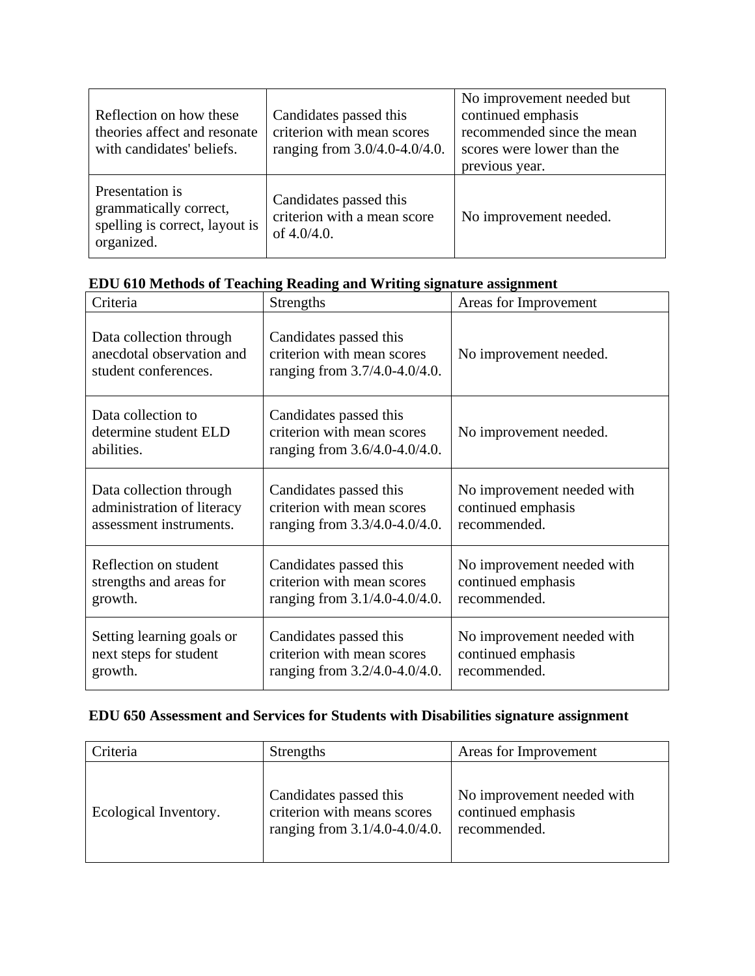| Reflection on how these<br>theories affect and resonate<br>with candidates' beliefs.      | Candidates passed this<br>criterion with mean scores<br>ranging from 3.0/4.0-4.0/4.0. | No improvement needed but<br>continued emphasis<br>recommended since the mean<br>scores were lower than the<br>previous year. |
|-------------------------------------------------------------------------------------------|---------------------------------------------------------------------------------------|-------------------------------------------------------------------------------------------------------------------------------|
| Presentation is<br>grammatically correct,<br>spelling is correct, layout is<br>organized. | Candidates passed this<br>criterion with a mean score<br>of $4.0/4.0$ .               | No improvement needed.                                                                                                        |

|  |  |  |  | EDU 610 Methods of Teaching Reading and Writing signature assignment |  |  |
|--|--|--|--|----------------------------------------------------------------------|--|--|
|  |  |  |  |                                                                      |  |  |

| Criteria                                                                     | <b>Strengths</b>                                                                      | Areas for Improvement      |
|------------------------------------------------------------------------------|---------------------------------------------------------------------------------------|----------------------------|
| Data collection through<br>anecdotal observation and<br>student conferences. | Candidates passed this<br>criterion with mean scores<br>ranging from 3.7/4.0-4.0/4.0. | No improvement needed.     |
| Data collection to<br>determine student ELD<br>abilities.                    | Candidates passed this<br>criterion with mean scores<br>ranging from 3.6/4.0-4.0/4.0. | No improvement needed.     |
| Data collection through                                                      | Candidates passed this                                                                | No improvement needed with |
| administration of literacy                                                   | criterion with mean scores                                                            | continued emphasis         |
| assessment instruments.                                                      | ranging from 3.3/4.0-4.0/4.0.                                                         | recommended.               |
| Reflection on student                                                        | Candidates passed this                                                                | No improvement needed with |
| strengths and areas for                                                      | criterion with mean scores                                                            | continued emphasis         |
| growth.                                                                      | ranging from 3.1/4.0-4.0/4.0.                                                         | recommended.               |
| Setting learning goals or                                                    | Candidates passed this                                                                | No improvement needed with |
| next steps for student                                                       | criterion with mean scores                                                            | continued emphasis         |
| growth.                                                                      | ranging from 3.2/4.0-4.0/4.0.                                                         | recommended.               |

# **EDU 650 Assessment and Services for Students with Disabilities signature assignment**

| Criteria              | <b>Strengths</b>                                                                       | Areas for Improvement                                            |
|-----------------------|----------------------------------------------------------------------------------------|------------------------------------------------------------------|
| Ecological Inventory. | Candidates passed this<br>criterion with means scores<br>ranging from 3.1/4.0-4.0/4.0. | No improvement needed with<br>continued emphasis<br>recommended. |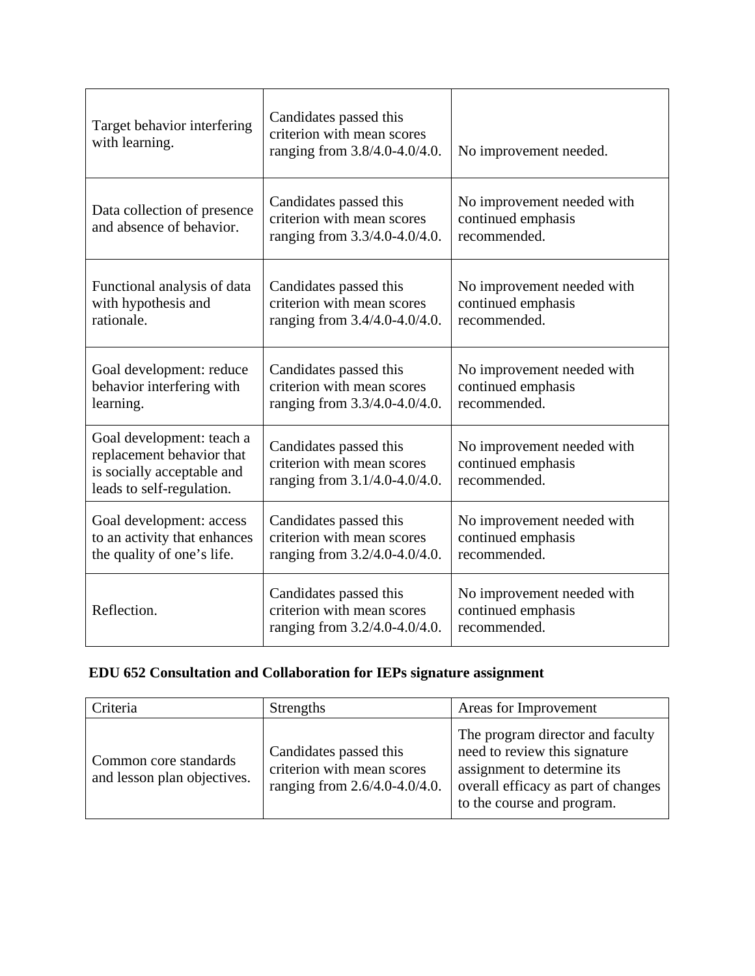| Target behavior interfering<br>with learning.                                                                     | Candidates passed this<br>criterion with mean scores<br>ranging from 3.8/4.0-4.0/4.0. | No improvement needed.                                           |
|-------------------------------------------------------------------------------------------------------------------|---------------------------------------------------------------------------------------|------------------------------------------------------------------|
| Data collection of presence<br>and absence of behavior.                                                           | Candidates passed this<br>criterion with mean scores<br>ranging from 3.3/4.0-4.0/4.0. | No improvement needed with<br>continued emphasis<br>recommended. |
| Functional analysis of data<br>with hypothesis and<br>rationale.                                                  | Candidates passed this<br>criterion with mean scores<br>ranging from 3.4/4.0-4.0/4.0. | No improvement needed with<br>continued emphasis<br>recommended. |
| Goal development: reduce<br>behavior interfering with<br>learning.                                                | Candidates passed this<br>criterion with mean scores<br>ranging from 3.3/4.0-4.0/4.0. | No improvement needed with<br>continued emphasis<br>recommended. |
| Goal development: teach a<br>replacement behavior that<br>is socially acceptable and<br>leads to self-regulation. | Candidates passed this<br>criterion with mean scores<br>ranging from 3.1/4.0-4.0/4.0. | No improvement needed with<br>continued emphasis<br>recommended. |
| Goal development: access<br>to an activity that enhances<br>the quality of one's life.                            | Candidates passed this<br>criterion with mean scores<br>ranging from 3.2/4.0-4.0/4.0. | No improvement needed with<br>continued emphasis<br>recommended. |
| Reflection.                                                                                                       | Candidates passed this<br>criterion with mean scores<br>ranging from 3.2/4.0-4.0/4.0. | No improvement needed with<br>continued emphasis<br>recommended. |

# **EDU 652 Consultation and Collaboration for IEPs signature assignment**

| Criteria                                             | <b>Strengths</b>                                                                      | Areas for Improvement                                                                                                                                                 |
|------------------------------------------------------|---------------------------------------------------------------------------------------|-----------------------------------------------------------------------------------------------------------------------------------------------------------------------|
| Common core standards<br>and lesson plan objectives. | Candidates passed this<br>criterion with mean scores<br>ranging from 2.6/4.0-4.0/4.0. | The program director and faculty<br>need to review this signature<br>assignment to determine its<br>overall efficacy as part of changes<br>to the course and program. |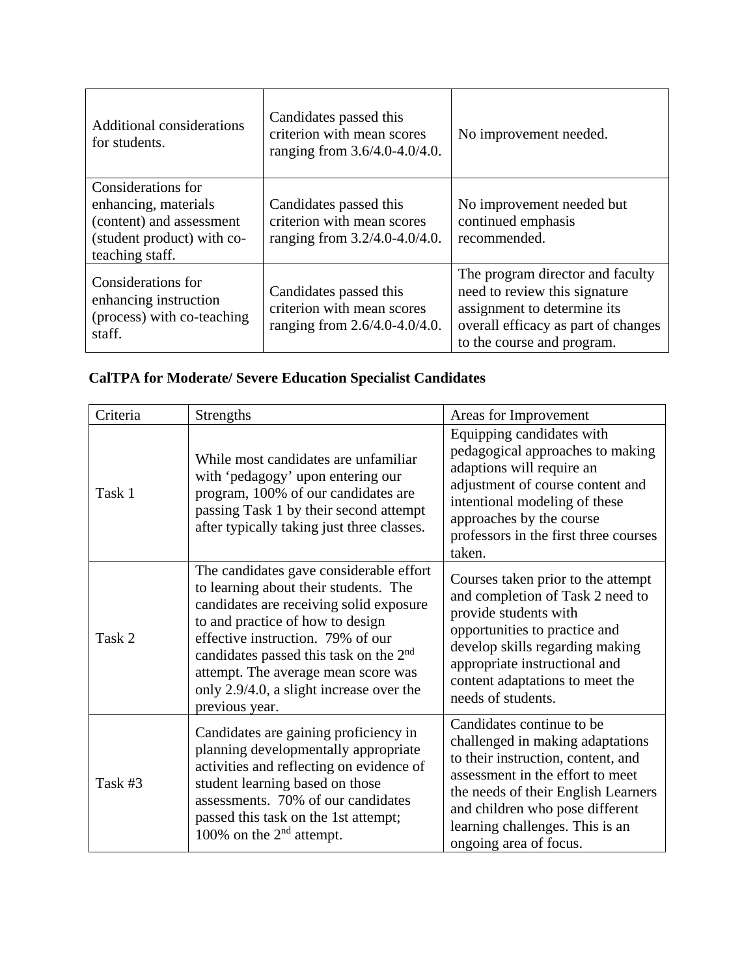| <b>Additional considerations</b><br>for students.                                                                       | Candidates passed this<br>criterion with mean scores<br>ranging from 3.6/4.0-4.0/4.0. | No improvement needed.                                                                                                                                                |
|-------------------------------------------------------------------------------------------------------------------------|---------------------------------------------------------------------------------------|-----------------------------------------------------------------------------------------------------------------------------------------------------------------------|
| Considerations for<br>enhancing, materials<br>(content) and assessment<br>(student product) with co-<br>teaching staff. | Candidates passed this<br>criterion with mean scores<br>ranging from 3.2/4.0-4.0/4.0. | No improvement needed but<br>continued emphasis<br>recommended.                                                                                                       |
| Considerations for<br>enhancing instruction<br>(process) with co-teaching<br>staff.                                     | Candidates passed this<br>criterion with mean scores<br>ranging from 2.6/4.0-4.0/4.0. | The program director and faculty<br>need to review this signature<br>assignment to determine its<br>overall efficacy as part of changes<br>to the course and program. |

# **CalTPA for Moderate/ Severe Education Specialist Candidates**

| Criteria | Strengths                                                                                                                                                                                                                                                                                                                                                       | Areas for Improvement                                                                                                                                                                                                                                                          |
|----------|-----------------------------------------------------------------------------------------------------------------------------------------------------------------------------------------------------------------------------------------------------------------------------------------------------------------------------------------------------------------|--------------------------------------------------------------------------------------------------------------------------------------------------------------------------------------------------------------------------------------------------------------------------------|
| Task 1   | While most candidates are unfamiliar<br>with 'pedagogy' upon entering our<br>program, 100% of our candidates are<br>passing Task 1 by their second attempt<br>after typically taking just three classes.                                                                                                                                                        | Equipping candidates with<br>pedagogical approaches to making<br>adaptions will require an<br>adjustment of course content and<br>intentional modeling of these<br>approaches by the course<br>professors in the first three courses<br>taken.                                 |
| Task 2   | The candidates gave considerable effort<br>to learning about their students. The<br>candidates are receiving solid exposure<br>to and practice of how to design<br>effective instruction. 79% of our<br>candidates passed this task on the 2 <sup>nd</sup><br>attempt. The average mean score was<br>only 2.9/4.0, a slight increase over the<br>previous year. | Courses taken prior to the attempt<br>and completion of Task 2 need to<br>provide students with<br>opportunities to practice and<br>develop skills regarding making<br>appropriate instructional and<br>content adaptations to meet the<br>needs of students.                  |
| Task #3  | Candidates are gaining proficiency in<br>planning developmentally appropriate<br>activities and reflecting on evidence of<br>student learning based on those<br>assessments. 70% of our candidates<br>passed this task on the 1st attempt;<br>100% on the $2nd$ attempt.                                                                                        | Candidates continue to be<br>challenged in making adaptations<br>to their instruction, content, and<br>assessment in the effort to meet<br>the needs of their English Learners<br>and children who pose different<br>learning challenges. This is an<br>ongoing area of focus. |